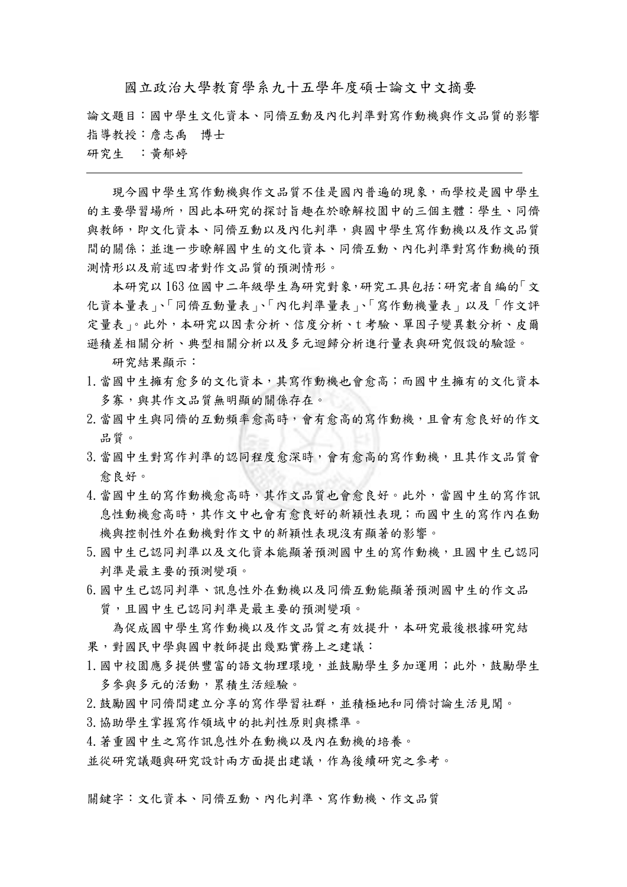國立政治大學教育學系九十五學年度碩士論文中文摘要

論文題目:國中學生文化資本、同儕互動及內化判準對寫作動機與作文品質的影響 指導教授:詹志禹 博士

研究生 :黃郁婷

 現今國中學生寫作動機與作文品質不佳是國內普遍的現象,而學校是國中學生 的主要學習場所,因此本研究的探討旨趣在於瞭解校園中的三個主體:學生、同儕 與教師,即文化資本、同儕互動以及內化判準,與國中學生寫作動機以及作文品質 間的關係;並進一步瞭解國中生的文化資本、同儕互動、內化判準對寫作動機的預 測情形以及前述四者對作文品質的預測情形。

本研究以 163 位國中二年級學生為研究對象,研究工具包括:研究者自編的「文 化資本量表」、「同儕互動量表」、「內化判準量表」、「寫作動機量表」以及「作文評 定量表」。此外,本研究以因素分析、信度分析、t考驗、單因子變異數分析、皮爾 遜積差相關分析、典型相關分析以及多元迴歸分析進行量表與研究假設的驗證。

研究結果顯示:

- 1.當國中生擁有愈多的文化資本,其寫作動機也會愈高;而國中生擁有的文化資本 多寡,與其作文品質無明顯的關係存在。
- 2.當國中生與同儕的互動頻率愈高時,會有愈高的寫作動機,且會有愈良好的作文 品質。
- 3.當國中生對寫作判準的認同程度愈深時,會有愈高的寫作動機,且其作文品質會 愈良好。
- 4.當國中生的寫作動機愈高時,其作文品質也會愈良好。此外,當國中生的寫作訊 息性動機愈高時,其作文中也會有愈良好的新穎性表現;而國中生的寫作內在動 機與控制性外在動機對作文中的新穎性表現沒有顯著的影響。
- 5.國中生已認同判準以及文化資本能顯著預測國中生的寫作動機,且國中生已認同 判準是最主要的預測變項。
- 6.國中生已認同判準、訊息性外在動機以及同儕互動能顯著預測國中生的作文品 質,且國中生已認同判準是最主要的預測變項。

為促成國中學生寫作動機以及作文品質之有效提升,本研究最後根據研究結 果,對國民中學與國中教師提出幾點實務上之建議:

- 1.國中校園應多提供豐富的語文物理環境,並鼓勵學生多加運用;此外,鼓勵學生 多參與多元的活動,累積生活經驗。
- 2.鼓勵國中同儕間建立分享的寫作學習社群,並積極地和同儕討論生活見聞。
- 3.協助學生掌握寫作領域中的批判性原則與標準。
- 4.著重國中生之寫作訊息性外在動機以及內在動機的培養。

並從研究議題與研究設計兩方面提出建議,作為後續研究之參考。

關鍵字:文化資本、同儕互動、內化判準、寫作動機、作文品質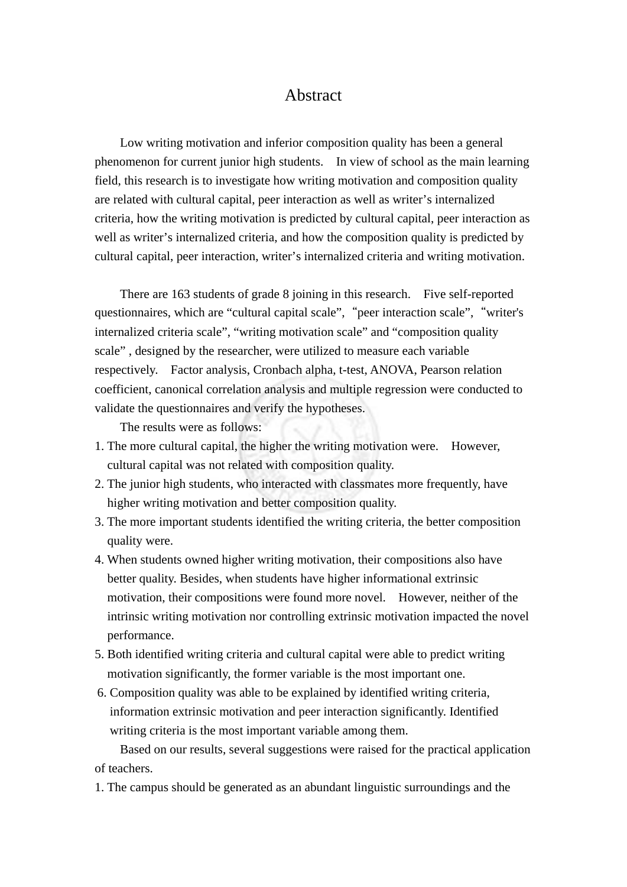## Abstract

 Low writing motivation and inferior composition quality has been a general phenomenon for current junior high students. In view of school as the main learning field, this research is to investigate how writing motivation and composition quality are related with cultural capital, peer interaction as well as writer's internalized criteria, how the writing motivation is predicted by cultural capital, peer interaction as well as writer's internalized criteria, and how the composition quality is predicted by cultural capital, peer interaction, writer's internalized criteria and writing motivation.

There are 163 students of grade 8 joining in this research. Five self-reported questionnaires, which are "cultural capital scale", "peer interaction scale", "writer's internalized criteria scale", "writing motivation scale" and "composition quality scale" , designed by the researcher, were utilized to measure each variable respectively. Factor analysis, Cronbach alpha, t-test, ANOVA, Pearson relation coefficient, canonical correlation analysis and multiple regression were conducted to validate the questionnaires and verify the hypotheses.

The results were as follows:

- 1. The more cultural capital, the higher the writing motivation were. However, cultural capital was not related with composition quality.
- 2. The junior high students, who interacted with classmates more frequently, have higher writing motivation and better composition quality.
- 3. The more important students identified the writing criteria, the better composition quality were.
- 4. When students owned higher writing motivation, their compositions also have better quality. Besides, when students have higher informational extrinsic motivation, their compositions were found more novel. However, neither of the intrinsic writing motivation nor controlling extrinsic motivation impacted the novel performance.
- 5. Both identified writing criteria and cultural capital were able to predict writing motivation significantly, the former variable is the most important one.
- 6. Composition quality was able to be explained by identified writing criteria, information extrinsic motivation and peer interaction significantly. Identified writing criteria is the most important variable among them.

Based on our results, several suggestions were raised for the practical application of teachers.

1. The campus should be generated as an abundant linguistic surroundings and the